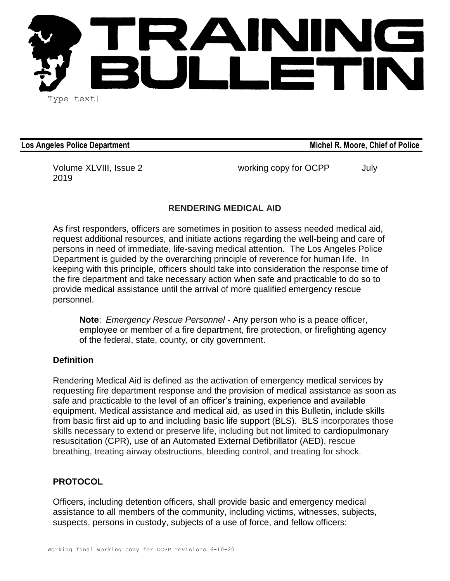

Los Angeles Police Department **Michel R. Moore, Chief of Police** Angeles Police

2019

Volume XLVIII, Issue 2 The Control of the Working copy for OCPP and July

# **RENDERING MEDICAL AID**

As first responders, officers are sometimes in position to assess needed medical aid, request additional resources, and initiate actions regarding the well-being and care of persons in need of immediate, life-saving medical attention. The Los Angeles Police Department is guided by the overarching principle of reverence for human life. In keeping with this principle, officers should take into consideration the response time of the fire department and take necessary action when safe and practicable to do so to provide medical assistance until the arrival of more qualified emergency rescue personnel.

**Note**: *Emergency Rescue Personnel* - Any person who is a peace officer, employee or member of a fire department, fire protection, or firefighting agency of the federal, state, county, or city government.

### **Definition**

Rendering Medical Aid is defined as the activation of emergency medical services by requesting fire department response and the provision of medical assistance as soon as safe and practicable to the level of an officer's training, experience and available equipment. Medical assistance and medical aid, as used in this Bulletin, include skills from basic first aid up to and including basic life support (BLS). BLS incorporates those skills necessary to extend or preserve life, including but not limited to cardiopulmonary resuscitation (CPR), use of an Automated External Defibrillator (AED), rescue breathing, treating airway obstructions, bleeding control, and treating for shock.

### **PROTOCOL**

Officers, including detention officers, shall provide basic and emergency medical assistance to all members of the community, including victims, witnesses, subjects, suspects, persons in custody, subjects of a use of force, and fellow officers: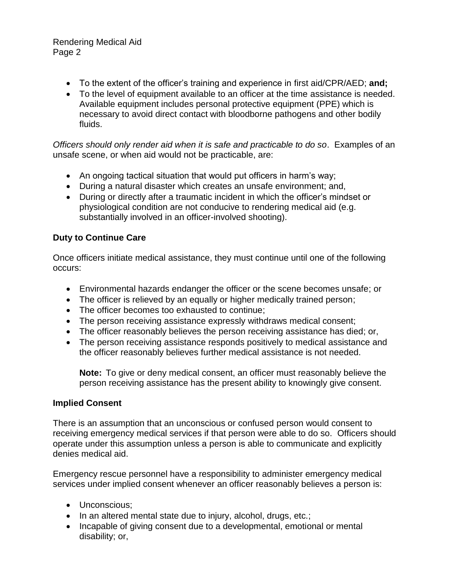## Rendering Medical Aid Page 2

- To the extent of the officer's training and experience in first aid/CPR/AED; **and;**
- To the level of equipment available to an officer at the time assistance is needed. Available equipment includes personal protective equipment (PPE) which is necessary to avoid direct contact with bloodborne pathogens and other bodily fluids.

*Officers should only render aid when it is safe and practicable to do so*. Examples of an unsafe scene, or when aid would not be practicable, are:

- An ongoing tactical situation that would put officers in harm's way;
- During a natural disaster which creates an unsafe environment; and,
- During or directly after a traumatic incident in which the officer's mindset or physiological condition are not conducive to rendering medical aid (e.g. substantially involved in an officer-involved shooting).

# **Duty to Continue Care**

Once officers initiate medical assistance, they must continue until one of the following occurs:

- Environmental hazards endanger the officer or the scene becomes unsafe; or
- The officer is relieved by an equally or higher medically trained person;
- The officer becomes too exhausted to continue;
- The person receiving assistance expressly withdraws medical consent;
- The officer reasonably believes the person receiving assistance has died; or,
- The person receiving assistance responds positively to medical assistance and the officer reasonably believes further medical assistance is not needed.

**Note:** To give or deny medical consent, an officer must reasonably believe the person receiving assistance has the present ability to knowingly give consent.

### **Implied Consent**

There is an assumption that an unconscious or confused person would consent to receiving emergency medical services if that person were able to do so. Officers should operate under this assumption unless a person is able to communicate and explicitly denies medical aid.

Emergency rescue personnel have a responsibility to administer emergency medical services under implied consent whenever an officer reasonably believes a person is:

- Unconscious;
- In an altered mental state due to injury, alcohol, drugs, etc.;
- Incapable of giving consent due to a developmental, emotional or mental disability; or,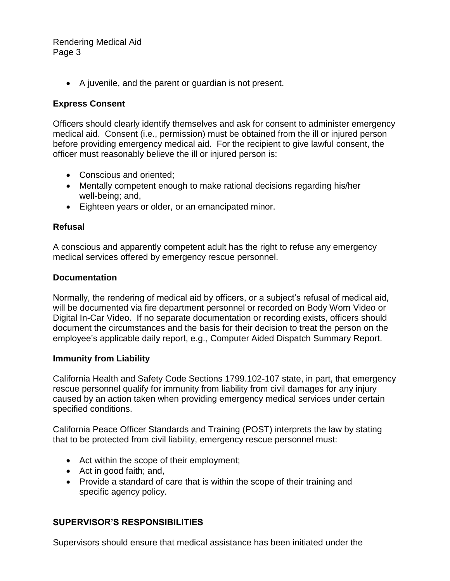### Rendering Medical Aid Page 3

• A juvenile, and the parent or guardian is not present.

## **Express Consent**

Officers should clearly identify themselves and ask for consent to administer emergency medical aid. Consent (i.e., permission) must be obtained from the ill or injured person before providing emergency medical aid. For the recipient to give lawful consent, the officer must reasonably believe the ill or injured person is:

- Conscious and oriented;
- Mentally competent enough to make rational decisions regarding his/her well-being; and,
- Eighteen years or older, or an emancipated minor.

## **Refusal**

A conscious and apparently competent adult has the right to refuse any emergency medical services offered by emergency rescue personnel.

### **Documentation**

Normally, the rendering of medical aid by officers, or a subject's refusal of medical aid, will be documented via fire department personnel or recorded on Body Worn Video or Digital In-Car Video. If no separate documentation or recording exists, officers should document the circumstances and the basis for their decision to treat the person on the employee's applicable daily report, e.g., Computer Aided Dispatch Summary Report.

### **Immunity from Liability**

California Health and Safety Code Sections 1799.102-107 state, in part, that emergency rescue personnel qualify for immunity from liability from civil damages for any injury caused by an action taken when providing emergency medical services under certain specified conditions.

California Peace Officer Standards and Training (POST) interprets the law by stating that to be protected from civil liability, emergency rescue personnel must:

- Act within the scope of their employment;
- Act in good faith; and,
- Provide a standard of care that is within the scope of their training and specific agency policy.

# **SUPERVISOR'S RESPONSIBILITIES**

Supervisors should ensure that medical assistance has been initiated under the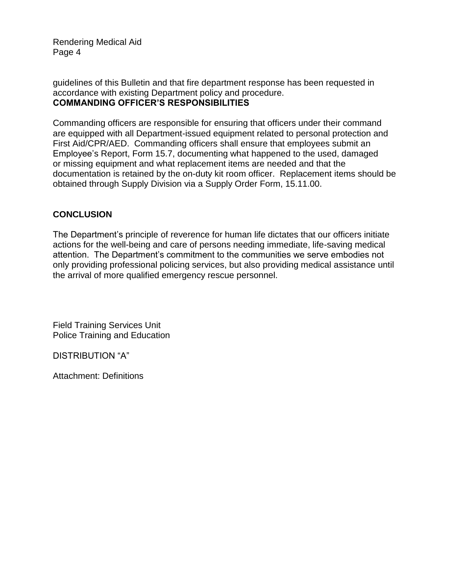Rendering Medical Aid Page 4

guidelines of this Bulletin and that fire department response has been requested in accordance with existing Department policy and procedure. **COMMANDING OFFICER'S RESPONSIBILITIES**

Commanding officers are responsible for ensuring that officers under their command are equipped with all Department-issued equipment related to personal protection and First Aid/CPR/AED. Commanding officers shall ensure that employees submit an Employee's Report, Form 15.7, documenting what happened to the used, damaged or missing equipment and what replacement items are needed and that the documentation is retained by the on-duty kit room officer. Replacement items should be obtained through Supply Division via a Supply Order Form, 15.11.00.

## **CONCLUSION**

The Department's principle of reverence for human life dictates that our officers initiate actions for the well-being and care of persons needing immediate, life-saving medical attention. The Department's commitment to the communities we serve embodies not only providing professional policing services, but also providing medical assistance until the arrival of more qualified emergency rescue personnel.

Field Training Services Unit Police Training and Education

DISTRIBUTION "A"

Attachment: Definitions